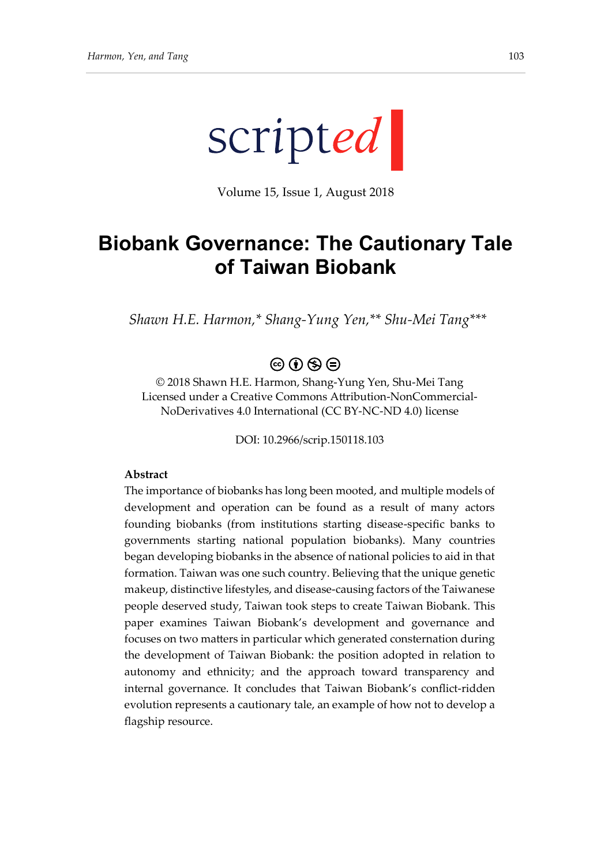

Volume 15, Issue 1, August 2018

# **Biobank Governance: The Cautionary Tale of Taiwan Biobank**

*Shawn H.E. Harmon,\* Shang-Yung Yen,\*\* Shu-Mei Tang\*\*\**

### $\circledcirc \circ \circledcirc$

© 2018 Shawn H.E. Harmon, Shang-Yung Yen, Shu-Mei Tang Licensed under a Creative Commons Attribution-NonCommercial-NoDerivatives 4.0 International (CC BY-NC-ND 4.0) license

DOI: 10.2966/scrip.150118.103

#### **Abstract**

The importance of biobanks has long been mooted, and multiple models of development and operation can be found as a result of many actors founding biobanks (from institutions starting disease-specific banks to governments starting national population biobanks). Many countries began developing biobanks in the absence of national policies to aid in that formation. Taiwan was one such country. Believing that the unique genetic makeup, distinctive lifestyles, and disease-causing factors of the Taiwanese people deserved study, Taiwan took steps to create Taiwan Biobank. This paper examines Taiwan Biobank's development and governance and focuses on two matters in particular which generated consternation during the development of Taiwan Biobank: the position adopted in relation to autonomy and ethnicity; and the approach toward transparency and internal governance. It concludes that Taiwan Biobank's conflict-ridden evolution represents a cautionary tale, an example of how not to develop a flagship resource.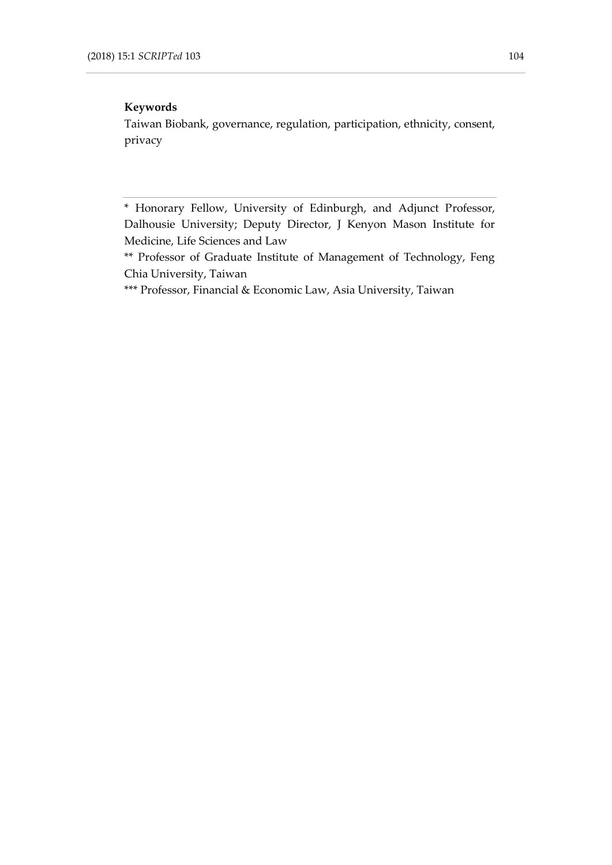#### **Keywords**

Taiwan Biobank, governance, regulation, participation, ethnicity, consent, privacy

<sup>\*</sup> Honorary Fellow, University of Edinburgh, and Adjunct Professor, Dalhousie University; Deputy Director, J Kenyon Mason Institute for Medicine, Life Sciences and Law

<sup>\*\*</sup> Professor of Graduate Institute of Management of Technology, Feng Chia University, Taiwan

<sup>\*\*\*</sup> Professor, Financial & Economic Law, Asia University, Taiwan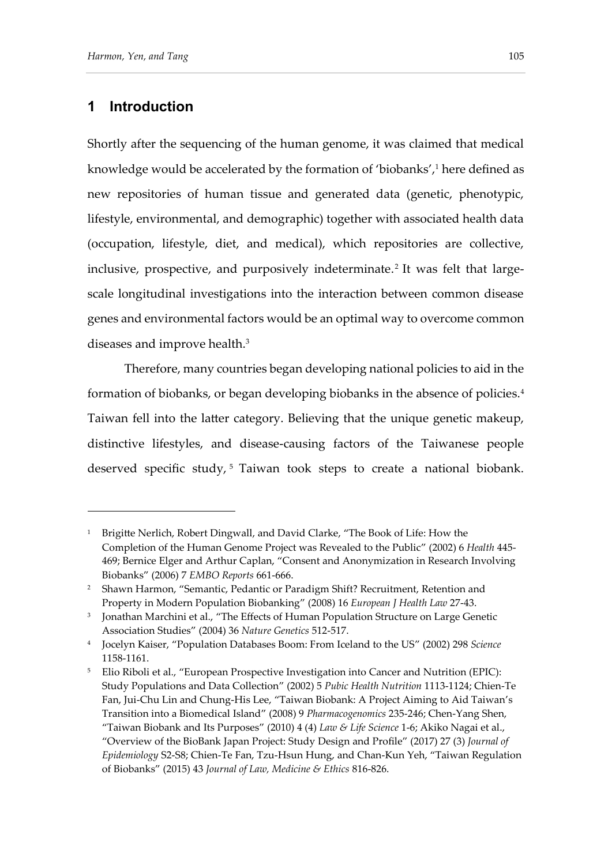#### **1 Introduction**

-

Shortly after the sequencing of the human genome, it was claimed that medical knowledge would be accelerated by the formation of 'biobanks',<sup>1</sup> here defined as new repositories of human tissue and generated data (genetic, phenotypic, lifestyle, environmental, and demographic) together with associated health data (occupation, lifestyle, diet, and medical), which repositories are collective, inclusive, prospective, and purposively indeterminate. 2 It was felt that largescale longitudinal investigations into the interaction between common disease genes and environmental factors would be an optimal way to overcome common diseases and improve health.<sup>3</sup>

Therefore, many countries began developing national policies to aid in the formation of biobanks, or began developing biobanks in the absence of policies.<sup>4</sup> Taiwan fell into the latter category. Believing that the unique genetic makeup, distinctive lifestyles, and disease-causing factors of the Taiwanese people deserved specific study,<sup>5</sup> Taiwan took steps to create a national biobank.

<sup>&</sup>lt;sup>1</sup> Brigitte Nerlich, Robert Dingwall, and David Clarke, "The Book of Life: How the Completion of the Human Genome Project was Revealed to the Public" (2002) 6 *Health* 445- 469; Bernice Elger and Arthur Caplan, "Consent and Anonymization in Research Involving Biobanks" (2006) 7 *EMBO Reports* 661-666.

<sup>&</sup>lt;sup>2</sup> Shawn Harmon, "Semantic, Pedantic or Paradigm Shift? Recruitment, Retention and Property in Modern Population Biobanking" (2008) 16 *European J Health Law* 27-43.

<sup>3</sup> Jonathan Marchini et al., "The Effects of Human Population Structure on Large Genetic Association Studies" (2004) 36 *Nature Genetics* 512-517.

<sup>4</sup> Jocelyn Kaiser, "Population Databases Boom: From Iceland to the US" (2002) 298 *Science* 1158-1161.

<sup>5</sup> Elio Riboli et al., "European Prospective Investigation into Cancer and Nutrition (EPIC): Study Populations and Data Collection" (2002) 5 *Pubic Health Nutrition* 1113-1124; Chien-Te Fan, Jui-Chu Lin and Chung-His Lee, "Taiwan Biobank: A Project Aiming to Aid Taiwan's Transition into a Biomedical Island" (2008) 9 *Pharmacogenomics* 235-246; Chen-Yang Shen, "Taiwan Biobank and Its Purposes" (2010) 4 (4) *Law & Life Science* 1-6; Akiko Nagai et al., "Overview of the BioBank Japan Project: Study Design and Profile" (2017) 27 (3) *Journal of Epidemiology* S2-S8; Chien-Te Fan, Tzu-Hsun Hung, and Chan-Kun Yeh, "Taiwan Regulation of Biobanks" (2015) 43 *Journal of Law, Medicine & Ethics* 816-826.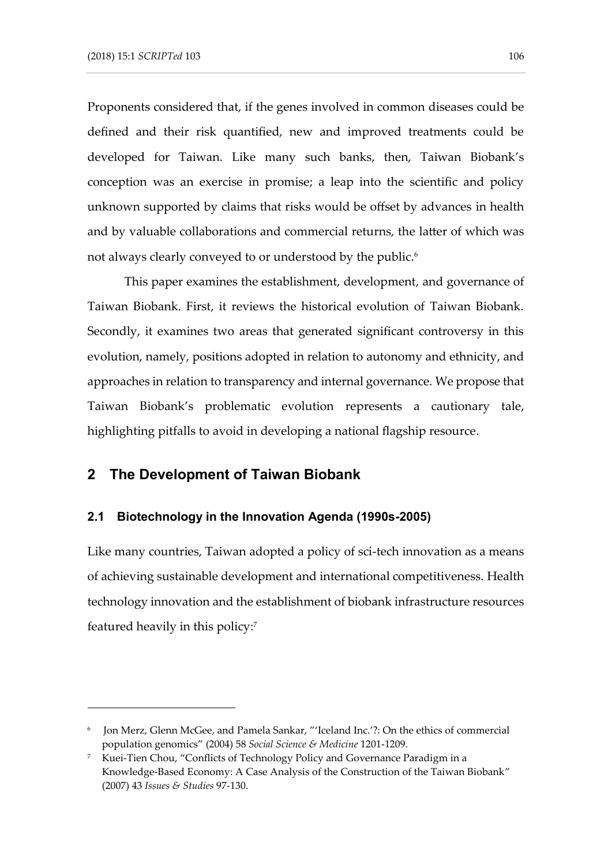Proponents considered that, if the genes involved in common diseases could be defined and their risk quantified, new and improved treatments could be developed for Taiwan. Like many such banks, then, Taiwan Biobank's conception was an exercise in promise; a leap into the scientific and policy unknown supported by claims that risks would be offset by advances in health and by valuable collaborations and commercial returns, the latter of which was not always clearly conveyed to or understood by the public. 6

This paper examines the establishment, development, and governance of Taiwan Biobank. First, it reviews the historical evolution of Taiwan Biobank. Secondly, it examines two areas that generated significant controversy in this evolution, namely, positions adopted in relation to autonomy and ethnicity, and approaches in relation to transparency and internal governance. We propose that Taiwan Biobank's problematic evolution represents a cautionary tale, highlighting pitfalls to avoid in developing a national flagship resource.

#### **2 The Development of Taiwan Biobank**

-

#### **2.1 Biotechnology in the Innovation Agenda (1990s-2005)**

Like many countries, Taiwan adopted a policy of sci-tech innovation as a means of achieving sustainable development and international competitiveness. Health technology innovation and the establishment of biobank infrastructure resources featured heavily in this policy: 7

<sup>6</sup> Jon Merz, Glenn McGee, and Pamela Sankar, "'Iceland Inc.'?: On the ethics of commercial population genomics" (2004) 58 *Social Science & Medicine* 1201-1209.

<sup>7</sup> Kuei-Tien Chou, "Conflicts of Technology Policy and Governance Paradigm in a Knowledge-Based Economy: A Case Analysis of the Construction of the Taiwan Biobank" (2007) 43 *Issues & Studies* 97-130.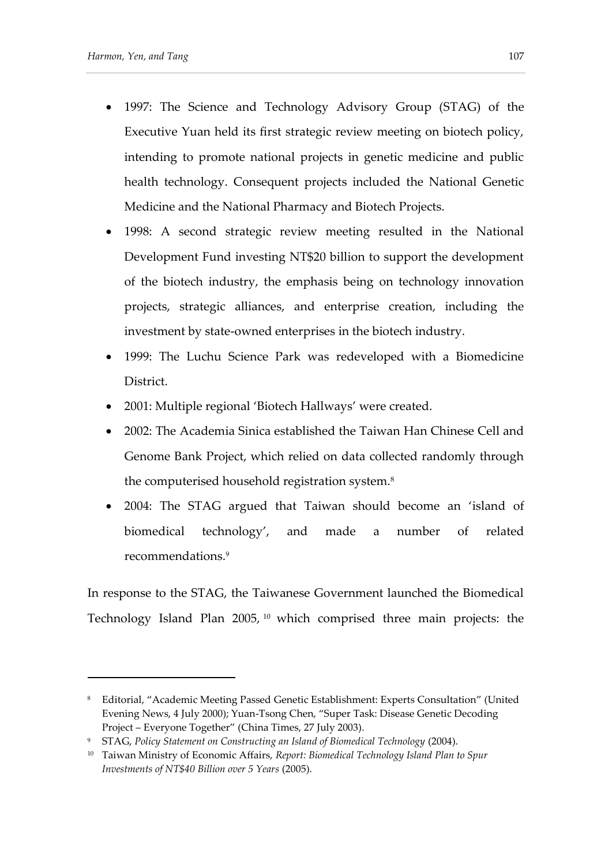- 1997: The Science and Technology Advisory Group (STAG) of the Executive Yuan held its first strategic review meeting on biotech policy, intending to promote national projects in genetic medicine and public health technology. Consequent projects included the National Genetic Medicine and the National Pharmacy and Biotech Projects.
- 1998: A second strategic review meeting resulted in the National Development Fund investing NT\$20 billion to support the development of the biotech industry, the emphasis being on technology innovation projects, strategic alliances, and enterprise creation, including the investment by state-owned enterprises in the biotech industry.
- 1999: The Luchu Science Park was redeveloped with a Biomedicine District.
- 2001: Multiple regional 'Biotech Hallways' were created.
- 2002: The Academia Sinica established the Taiwan Han Chinese Cell and Genome Bank Project, which relied on data collected randomly through the computerised household registration system.<sup>8</sup>
- 2004: The STAG argued that Taiwan should become an 'island of biomedical technology', and made a number of related recommendations.<sup>9</sup>

In response to the STAG, the Taiwanese Government launched the Biomedical Technology Island Plan 2005, <sup>10</sup> which comprised three main projects: the

<sup>8</sup> Editorial, "Academic Meeting Passed Genetic Establishment: Experts Consultation" (United Evening News, 4 July 2000); Yuan-Tsong Chen, "Super Task: Disease Genetic Decoding Project – Everyone Together" (China Times, 27 July 2003).

<sup>9</sup> STAG, *Policy Statement on Constructing an Island of Biomedical Technology* (2004).

<sup>10</sup> Taiwan Ministry of Economic Affairs, *Report: Biomedical Technology Island Plan to Spur Investments of NT\$40 Billion over 5 Years* (2005).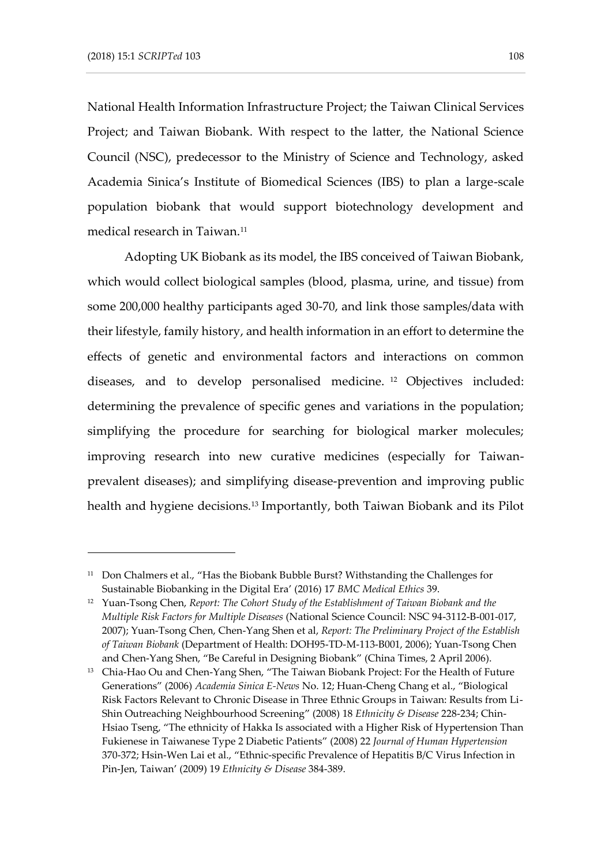National Health Information Infrastructure Project; the Taiwan Clinical Services Project; and Taiwan Biobank. With respect to the latter, the National Science Council (NSC), predecessor to the Ministry of Science and Technology, asked Academia Sinica's Institute of Biomedical Sciences (IBS) to plan a large-scale population biobank that would support biotechnology development and medical research in Taiwan.<sup>11</sup>

Adopting UK Biobank as its model, the IBS conceived of Taiwan Biobank, which would collect biological samples (blood, plasma, urine, and tissue) from some 200,000 healthy participants aged 30-70, and link those samples/data with their lifestyle, family history, and health information in an effort to determine the effects of genetic and environmental factors and interactions on common diseases, and to develop personalised medicine. <sup>12</sup> Objectives included: determining the prevalence of specific genes and variations in the population; simplifying the procedure for searching for biological marker molecules; improving research into new curative medicines (especially for Taiwanprevalent diseases); and simplifying disease-prevention and improving public health and hygiene decisions.<sup>13</sup> Importantly, both Taiwan Biobank and its Pilot

<sup>&</sup>lt;sup>11</sup> Don Chalmers et al., "Has the Biobank Bubble Burst? Withstanding the Challenges for Sustainable Biobanking in the Digital Era' (2016) 17 *BMC Medical Ethics* 39.

<sup>12</sup> Yuan-Tsong Chen, *Report: The Cohort Study of the Establishment of Taiwan Biobank and the Multiple Risk Factors for Multiple Diseases* (National Science Council: NSC 94-3112-B-001-017, 2007); Yuan-Tsong Chen, Chen-Yang Shen et al, *Report: The Preliminary Project of the Establish of Taiwan Biobank* (Department of Health: DOH95-TD-M-113-B001, 2006); Yuan-Tsong Chen and Chen-Yang Shen, "Be Careful in Designing Biobank" (China Times, 2 April 2006).

<sup>&</sup>lt;sup>13</sup> Chia-Hao Ou and Chen-Yang Shen, "The Taiwan Biobank Project: For the Health of Future Generations" (2006) *Academia Sinica E-News* No. 12; Huan-Cheng Chang et al., "Biological Risk Factors Relevant to Chronic Disease in Three Ethnic Groups in Taiwan: Results from Li-Shin Outreaching Neighbourhood Screening" (2008) 18 *Ethnicity & Disease* 228-234; Chin-Hsiao Tseng, "The ethnicity of Hakka Is associated with a Higher Risk of Hypertension Than Fukienese in Taiwanese Type 2 Diabetic Patients" (2008) 22 *Journal of Human Hypertension* 370-372; Hsin-Wen Lai et al., "Ethnic-specific Prevalence of Hepatitis B/C Virus Infection in Pin-Jen, Taiwan' (2009) 19 *Ethnicity & Disease* 384-389.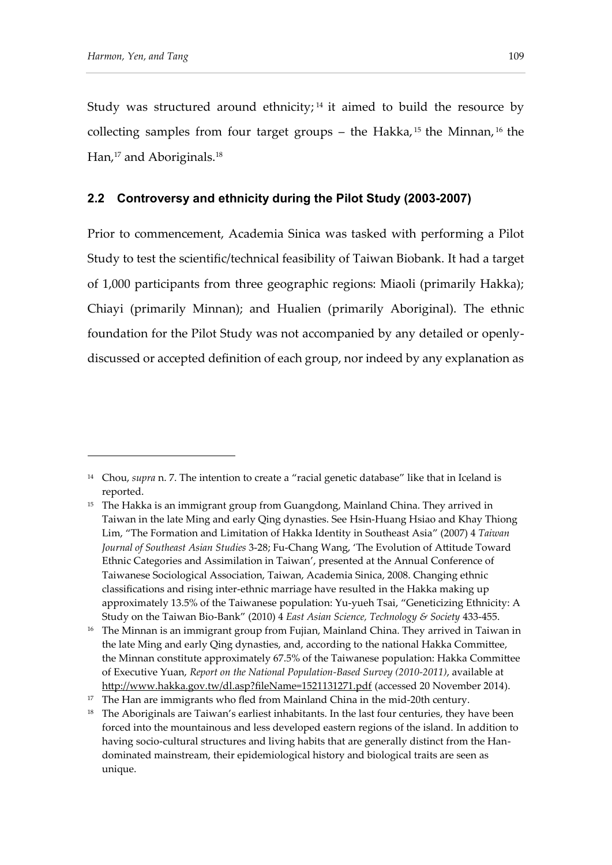Study was structured around ethnicity; <sup>14</sup> it aimed to build the resource by collecting samples from four target groups – the Hakka,<sup>15</sup> the Minnan,<sup>16</sup> the Han,<sup>17</sup> and Aboriginals.<sup>18</sup>

#### **2.2 Controversy and ethnicity during the Pilot Study (2003-2007)**

Prior to commencement, Academia Sinica was tasked with performing a Pilot Study to test the scientific/technical feasibility of Taiwan Biobank. It had a target of 1,000 participants from three geographic regions: Miaoli (primarily Hakka); Chiayi (primarily Minnan); and Hualien (primarily Aboriginal). The ethnic foundation for the Pilot Study was not accompanied by any detailed or openlydiscussed or accepted definition of each group, nor indeed by any explanation as

<sup>14</sup> Chou, *supra* n. 7. The intention to create a "racial genetic database" like that in Iceland is reported.

<sup>&</sup>lt;sup>15</sup> The Hakka is an immigrant group from Guangdong, Mainland China. They arrived in Taiwan in the late Ming and early Qing dynasties. See Hsin-Huang Hsiao and Khay Thiong Lim, "The Formation and Limitation of Hakka Identity in Southeast Asia" (2007) 4 *Taiwan Journal of Southeast Asian Studies* 3-28; Fu-Chang Wang, 'The Evolution of Attitude Toward Ethnic Categories and Assimilation in Taiwan', presented at the Annual Conference of Taiwanese Sociological Association, Taiwan, Academia Sinica, 2008. Changing ethnic classifications and rising inter-ethnic marriage have resulted in the Hakka making up approximately 13.5% of the Taiwanese population: Yu-yueh Tsai, "Geneticizing Ethnicity: A Study on the Taiwan Bio-Bank" (2010) 4 *East Asian Science, Technology & Society* 433-455.

<sup>&</sup>lt;sup>16</sup> The Minnan is an immigrant group from Fujian, Mainland China. They arrived in Taiwan in the late Ming and early Qing dynasties, and, according to the national Hakka Committee, the Minnan constitute approximately 67.5% of the Taiwanese population: Hakka Committee of Executive Yuan, *Report on the National Population-Based Survey (2010-2011)*, available at <http://www.hakka.gov.tw/dl.asp?fileName=1521131271.pdf> (accessed 20 November 2014).

<sup>&</sup>lt;sup>17</sup> The Han are immigrants who fled from Mainland China in the mid-20th century.

<sup>&</sup>lt;sup>18</sup> The Aboriginals are Taiwan's earliest inhabitants. In the last four centuries, they have been forced into the mountainous and less developed eastern regions of the island. In addition to having socio-cultural structures and living habits that are generally distinct from the Handominated mainstream, their epidemiological history and biological traits are seen as unique.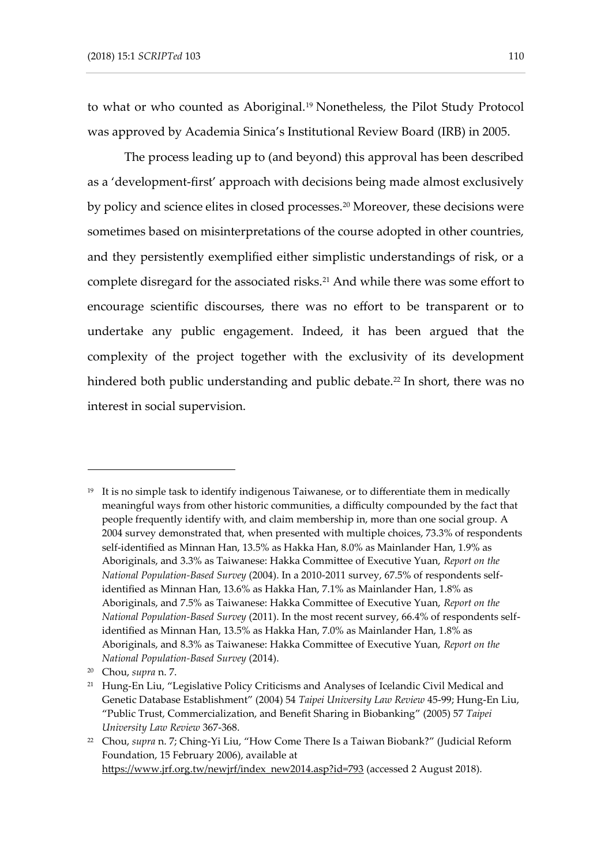to what or who counted as Aboriginal.<sup>19</sup> Nonetheless, the Pilot Study Protocol was approved by Academia Sinica's Institutional Review Board (IRB) in 2005.

The process leading up to (and beyond) this approval has been described as a 'development-first' approach with decisions being made almost exclusively by policy and science elites in closed processes.<sup>20</sup> Moreover, these decisions were sometimes based on misinterpretations of the course adopted in other countries, and they persistently exemplified either simplistic understandings of risk, or a complete disregard for the associated risks.<sup>21</sup> And while there was some effort to encourage scientific discourses, there was no effort to be transparent or to undertake any public engagement. Indeed, it has been argued that the complexity of the project together with the exclusivity of its development hindered both public understanding and public debate.<sup>22</sup> In short, there was no interest in social supervision.

 $19$  It is no simple task to identify indigenous Taiwanese, or to differentiate them in medically meaningful ways from other historic communities, a difficulty compounded by the fact that people frequently identify with, and claim membership in, more than one social group. A 2004 survey demonstrated that, when presented with multiple choices, 73.3% of respondents self-identified as Minnan Han, 13.5% as Hakka Han, 8.0% as Mainlander Han, 1.9% as Aboriginals, and 3.3% as Taiwanese: Hakka Committee of Executive Yuan, *Report on the National Population-Based Survey* (2004). In a 2010-2011 survey, 67.5% of respondents selfidentified as Minnan Han, 13.6% as Hakka Han, 7.1% as Mainlander Han, 1.8% as Aboriginals, and 7.5% as Taiwanese: Hakka Committee of Executive Yuan, *Report on the National Population-Based Survey* (2011). In the most recent survey, 66.4% of respondents selfidentified as Minnan Han, 13.5% as Hakka Han, 7.0% as Mainlander Han, 1.8% as Aboriginals, and 8.3% as Taiwanese: Hakka Committee of Executive Yuan, *Report on the National Population-Based Survey* (2014).

<sup>20</sup> Chou, *supra* n. 7.

<sup>&</sup>lt;sup>21</sup> Hung-En Liu, "Legislative Policy Criticisms and Analyses of Icelandic Civil Medical and Genetic Database Establishment" (2004) 54 *Taipei University Law Review* 45-99; Hung-En Liu, "Public Trust, Commercialization, and Benefit Sharing in Biobanking" (2005) 57 *Taipei University Law Review* 367-368.

<sup>22</sup> Chou, *supra* n. 7; Ching-Yi Liu, "How Come There Is a Taiwan Biobank?" (Judicial Reform Foundation, 15 February 2006), available at [https://www.jrf.org.tw/newjrf/index\\_new2014.asp?id=793](https://www.jrf.org.tw/newjrf/index_new2014.asp?id=793) (accessed 2 August 2018).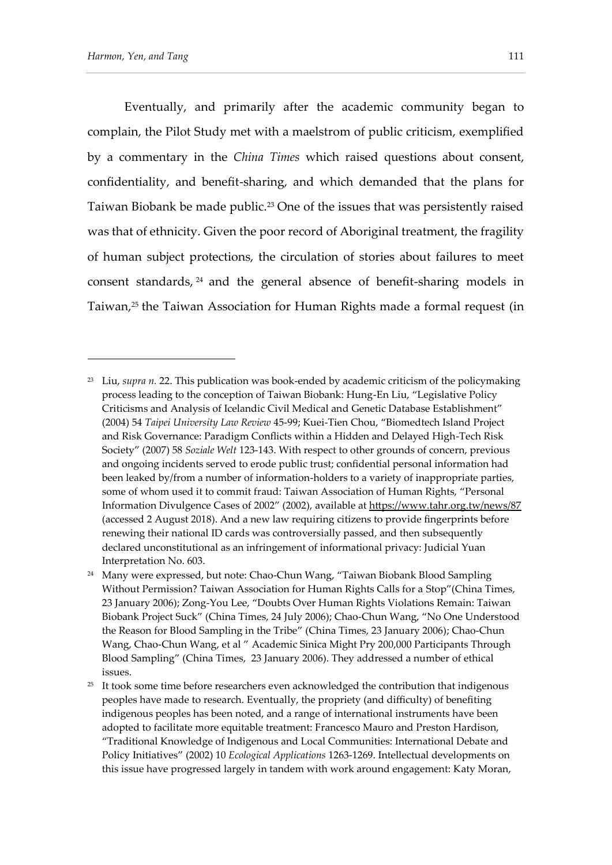Eventually, and primarily after the academic community began to complain, the Pilot Study met with a maelstrom of public criticism, exemplified by a commentary in the *China Times* which raised questions about consent, confidentiality, and benefit-sharing, and which demanded that the plans for Taiwan Biobank be made public.<sup>23</sup> One of the issues that was persistently raised was that of ethnicity. Given the poor record of Aboriginal treatment, the fragility of human subject protections, the circulation of stories about failures to meet consent standards, <sup>24</sup> and the general absence of benefit-sharing models in Taiwan,<sup>25</sup> the Taiwan Association for Human Rights made a formal request (in

<sup>23</sup> Liu, *supra n.* 22. This publication was book-ended by academic criticism of the policymaking process leading to the conception of Taiwan Biobank: Hung-En Liu, "Legislative Policy Criticisms and Analysis of Icelandic Civil Medical and Genetic Database Establishment" (2004) 54 *Taipei University Law Review* 45-99; Kuei-Tien Chou, "Biomedtech Island Project and Risk Governance: Paradigm Conflicts within a Hidden and Delayed High-Tech Risk Society" (2007) 58 *Soziale Welt* 123-143. With respect to other grounds of concern, previous and ongoing incidents served to erode public trust; confidential personal information had been leaked by/from a number of information-holders to a variety of inappropriate parties, some of whom used it to commit fraud: Taiwan Association of Human Rights, "Personal Information Divulgence Cases of 2002" (2002), available at<https://www.tahr.org.tw/news/87> (accessed 2 August 2018). And a new law requiring citizens to provide fingerprints before renewing their national ID cards was controversially passed, and then subsequently declared unconstitutional as an infringement of informational privacy: Judicial Yuan Interpretation No. 603.

<sup>&</sup>lt;sup>24</sup> Many were expressed, but note: Chao-Chun Wang, "Taiwan Biobank Blood Sampling Without Permission? Taiwan Association for Human Rights Calls for a Stop"(China Times, 23 January 2006); Zong-You Lee, "Doubts Over Human Rights Violations Remain: Taiwan Biobank Project Suck" (China Times, 24 July 2006); Chao-Chun Wang, "No One Understood the Reason for Blood Sampling in the Tribe" (China Times, 23 January 2006); Chao-Chun Wang, Chao-Chun Wang, et al " Academic Sinica Might Pry 200,000 Participants Through Blood Sampling" (China Times, 23 January 2006). They addressed a number of ethical issues.

 $25$  It took some time before researchers even acknowledged the contribution that indigenous peoples have made to research. Eventually, the propriety (and difficulty) of benefiting indigenous peoples has been noted, and a range of international instruments have been adopted to facilitate more equitable treatment: Francesco Mauro and Preston Hardison, "Traditional Knowledge of Indigenous and Local Communities: International Debate and Policy Initiatives" (2002) 10 *Ecological Applications* 1263-1269. Intellectual developments on this issue have progressed largely in tandem with work around engagement: Katy Moran,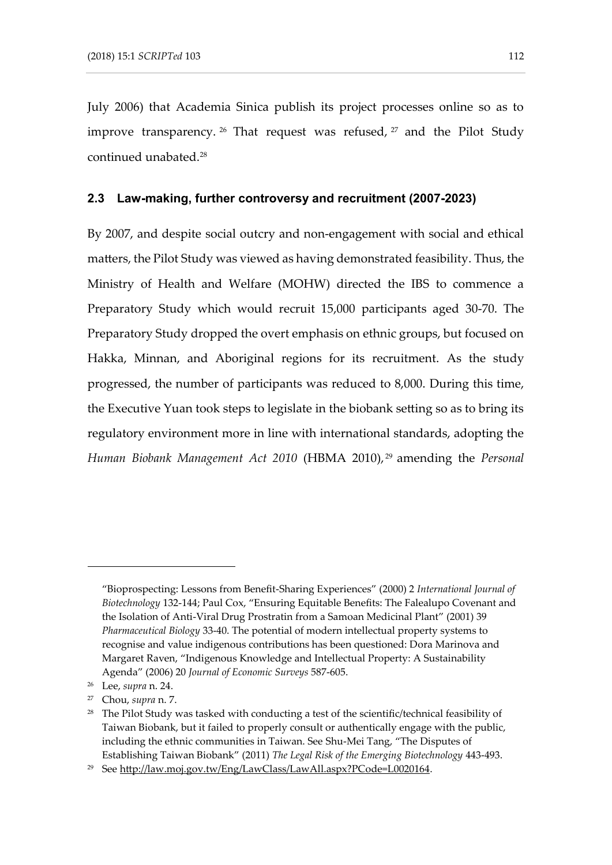July 2006) that Academia Sinica publish its project processes online so as to improve transparency. <sup>26</sup> That request was refused, 27 and the Pilot Study continued unabated.<sup>28</sup>

#### **2.3 Law-making, further controversy and recruitment (2007-2023)**

By 2007, and despite social outcry and non-engagement with social and ethical matters, the Pilot Study was viewed as having demonstrated feasibility. Thus, the Ministry of Health and Welfare (MOHW) directed the IBS to commence a Preparatory Study which would recruit 15,000 participants aged 30-70. The Preparatory Study dropped the overt emphasis on ethnic groups, but focused on Hakka, Minnan, and Aboriginal regions for its recruitment. As the study progressed, the number of participants was reduced to 8,000. During this time, the Executive Yuan took steps to legislate in the biobank setting so as to bring its regulatory environment more in line with international standards, adopting the *Human Biobank Management Act 2010* (HBMA 2010), <sup>29</sup> amending the *Personal* 

<sup>&</sup>quot;Bioprospecting: Lessons from Benefit-Sharing Experiences" (2000) 2 *International Journal of Biotechnology* 132-144; Paul Cox, "Ensuring Equitable Benefits: The Falealupo Covenant and the Isolation of Anti-Viral Drug Prostratin from a Samoan Medicinal Plant" (2001) 39 *Pharmaceutical Biology* 33-40. The potential of modern intellectual property systems to recognise and value indigenous contributions has been questioned: Dora Marinova and Margaret Raven, "Indigenous Knowledge and Intellectual Property: A Sustainability Agenda" (2006) 20 *Journal of Economic Surveys* 587-605.

<sup>26</sup> Lee, *supra* n. 24.

<sup>27</sup> Chou, *supra* n. 7.

<sup>&</sup>lt;sup>28</sup> The Pilot Study was tasked with conducting a test of the scientific/technical feasibility of Taiwan Biobank, but it failed to properly consult or authentically engage with the public, including the ethnic communities in Taiwan. See Shu-Mei Tang, "The Disputes of Establishing Taiwan Biobank" (2011) *The Legal Risk of the Emerging Biotechnology* 443-493.

<sup>&</sup>lt;sup>29</sup> Se[e http://law.moj.gov.tw/Eng/LawClass/LawAll.aspx?PCode=L0020164.](http://law.moj.gov.tw/Eng/LawClass/LawAll.aspx?PCode=L0020164)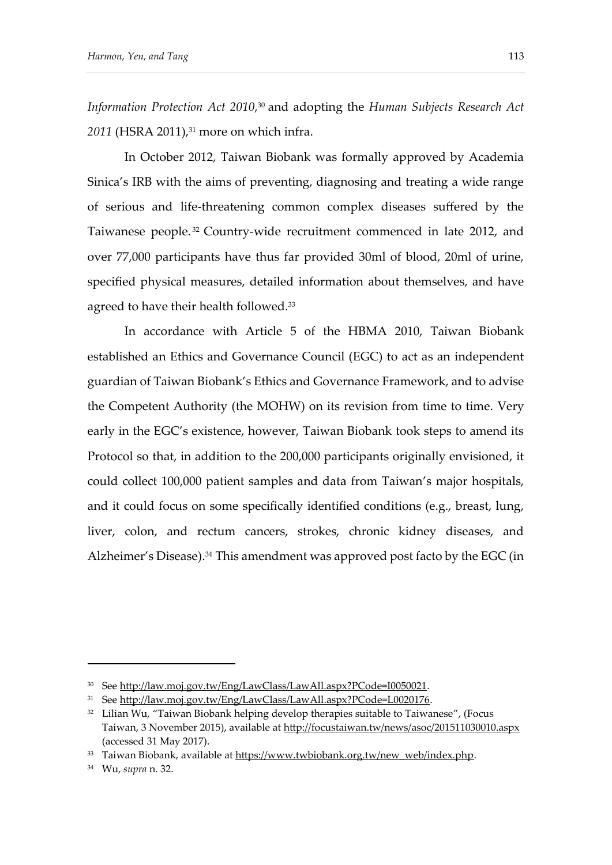*Information Protection Act 2010*, <sup>30</sup> and adopting the *Human Subjects Research Act*  2011 (HSRA 2011),<sup>31</sup> more on which infra.

In October 2012, Taiwan Biobank was formally approved by Academia Sinica's IRB with the aims of preventing, diagnosing and treating a wide range of serious and life-threatening common complex diseases suffered by the Taiwanese people. <sup>32</sup> Country-wide recruitment commenced in late 2012, and over 77,000 participants have thus far provided 30ml of blood, 20ml of urine, specified physical measures, detailed information about themselves, and have agreed to have their health followed.<sup>33</sup>

In accordance with Article 5 of the HBMA 2010, Taiwan Biobank established an Ethics and Governance Council (EGC) to act as an independent guardian of Taiwan Biobank's Ethics and Governance Framework, and to advise the Competent Authority (the MOHW) on its revision from time to time. Very early in the EGC's existence, however, Taiwan Biobank took steps to amend its Protocol so that, in addition to the 200,000 participants originally envisioned, it could collect 100,000 patient samples and data from Taiwan's major hospitals, and it could focus on some specifically identified conditions (e.g., breast, lung, liver, colon, and rectum cancers, strokes, chronic kidney diseases, and Alzheimer's Disease).<sup>34</sup> This amendment was approved post facto by the EGC (in

<sup>&</sup>lt;sup>30</sup> Se[e http://law.moj.gov.tw/Eng/LawClass/LawAll.aspx?PCode=I0050021.](http://law.moj.gov.tw/Eng/LawClass/LawAll.aspx?PCode=I0050021)

<sup>31</sup> Se[e http://law.moj.gov.tw/Eng/LawClass/LawAll.aspx?PCode=L0020176.](http://law.moj.gov.tw/Eng/LawClass/LawAll.aspx?PCode=L0020176)

<sup>&</sup>lt;sup>32</sup> Lilian Wu, "Taiwan Biobank helping develop therapies suitable to Taiwanese", (Focus Taiwan, 3 November 2015), available at<http://focustaiwan.tw/news/asoc/201511030010.aspx> (accessed 31 May 2017).

<sup>&</sup>lt;sup>33</sup> Taiwan Biobank, available at [https://www.twbiobank.org.tw/new\\_web/index.php.](https://www.twbiobank.org.tw/new_web/index.php)

<sup>34</sup> Wu, *supra* n. 32.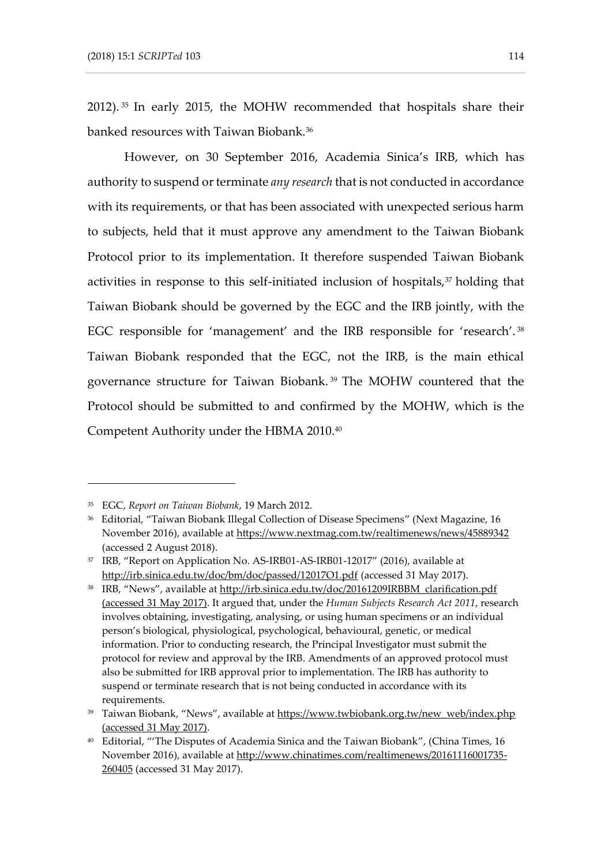2012). <sup>35</sup> In early 2015, the MOHW recommended that hospitals share their banked resources with Taiwan Biobank.<sup>36</sup>

However, on 30 September 2016, Academia Sinica's IRB, which has authority to suspend or terminate *any research* that is not conducted in accordance with its requirements, or that has been associated with unexpected serious harm to subjects, held that it must approve any amendment to the Taiwan Biobank Protocol prior to its implementation. It therefore suspended Taiwan Biobank activities in response to this self-initiated inclusion of hospitals,<sup>37</sup> holding that Taiwan Biobank should be governed by the EGC and the IRB jointly, with the EGC responsible for 'management' and the IRB responsible for 'research'. <sup>38</sup> Taiwan Biobank responded that the EGC, not the IRB, is the main ethical governance structure for Taiwan Biobank. <sup>39</sup> The MOHW countered that the Protocol should be submitted to and confirmed by the MOHW, which is the Competent Authority under the HBMA 2010.<sup>40</sup>

<sup>35</sup> EGC, *Report on Taiwan Biobank*, 19 March 2012.

<sup>36</sup> Editorial, "Taiwan Biobank Illegal Collection of Disease Specimens" (Next Magazine, 16 November 2016), available at https://www.nextmag.com.tw/realtimenews/news/45889342 (accessed 2 August 2018).

<sup>&</sup>lt;sup>37</sup> IRB, "Report on Application No. AS-IRB01-AS-IRB01-12017" (2016), available at <http://irb.sinica.edu.tw/doc/bm/doc/passed/12017O1.pdf> (accessed 31 May 2017).

<sup>&</sup>lt;sup>38</sup> IRB, "News", available at [http://irb.sinica.edu.tw/doc/20161209IRBBM\\_clarification.pdf](http://irb.sinica.edu.tw/doc/20161209IRBBM_clarification.pdf) (accessed 31 May 2017). It argued that, under the *Human Subjects Research Act 2011*, research involves obtaining, investigating, analysing, or using human specimens or an individual person's biological, physiological, psychological, behavioural, genetic, or medical information. Prior to conducting research, the Principal Investigator must submit the protocol for review and approval by the IRB. Amendments of an approved protocol must also be submitted for IRB approval prior to implementation. The IRB has authority to suspend or terminate research that is not being conducted in accordance with its requirements.

<sup>&</sup>lt;sup>39</sup> Taiwan Biobank, "News", available at [https://www.twbiobank.org.tw/new\\_web/index.php](https://www.twbiobank.org.tw/new_web/index.php) (accessed 31 May 2017).

<sup>40</sup> Editorial, "'The Disputes of Academia Sinica and the Taiwan Biobank", (China Times, 16 November 2016), available at [http://www.chinatimes.com/realtimenews/20161116001735-](http://www.chinatimes.com/realtimenews/20161116001735-260405) [260405](http://www.chinatimes.com/realtimenews/20161116001735-260405) (accessed 31 May 2017).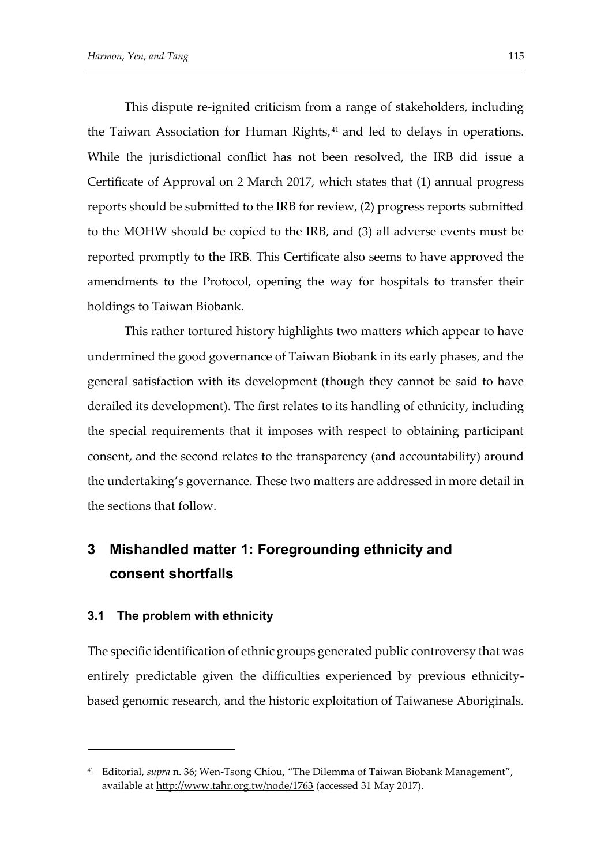This dispute re-ignited criticism from a range of stakeholders, including the Taiwan Association for Human Rights,<sup>41</sup> and led to delays in operations. While the jurisdictional conflict has not been resolved, the IRB did issue a Certificate of Approval on 2 March 2017, which states that (1) annual progress reports should be submitted to the IRB for review, (2) progress reports submitted to the MOHW should be copied to the IRB, and (3) all adverse events must be reported promptly to the IRB. This Certificate also seems to have approved the amendments to the Protocol, opening the way for hospitals to transfer their holdings to Taiwan Biobank.

This rather tortured history highlights two matters which appear to have undermined the good governance of Taiwan Biobank in its early phases, and the general satisfaction with its development (though they cannot be said to have derailed its development). The first relates to its handling of ethnicity, including the special requirements that it imposes with respect to obtaining participant consent, and the second relates to the transparency (and accountability) around the undertaking's governance. These two matters are addressed in more detail in the sections that follow.

## **3 Mishandled matter 1: Foregrounding ethnicity and consent shortfalls**

#### **3.1 The problem with ethnicity**

-

The specific identification of ethnic groups generated public controversy that was entirely predictable given the difficulties experienced by previous ethnicitybased genomic research, and the historic exploitation of Taiwanese Aboriginals.

<sup>41</sup> Editorial, *supra* n. 36; Wen-Tsong Chiou, "The Dilemma of Taiwan Biobank Management", available at<http://www.tahr.org.tw/node/1763> (accessed 31 May 2017).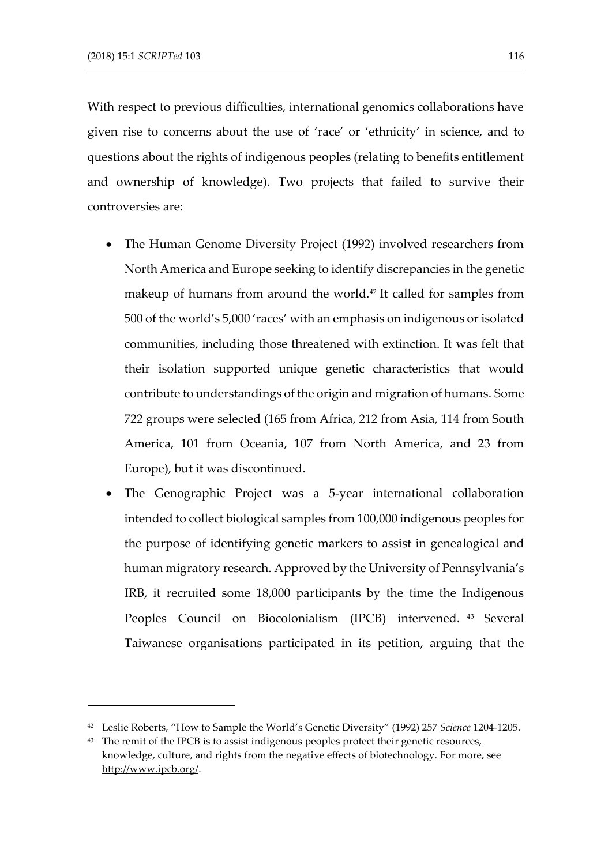With respect to previous difficulties, international genomics collaborations have given rise to concerns about the use of 'race' or 'ethnicity' in science, and to questions about the rights of indigenous peoples (relating to benefits entitlement and ownership of knowledge). Two projects that failed to survive their controversies are:

- The Human Genome Diversity Project (1992) involved researchers from North America and Europe seeking to identify discrepancies in the genetic makeup of humans from around the world.<sup>42</sup> It called for samples from 500 of the world's 5,000 'races' with an emphasis on indigenous or isolated communities, including those threatened with extinction. It was felt that their isolation supported unique genetic characteristics that would contribute to understandings of the origin and migration of humans. Some 722 groups were selected (165 from Africa, 212 from Asia, 114 from South America, 101 from Oceania, 107 from North America, and 23 from Europe), but it was discontinued.
- The Genographic Project was a 5-year international collaboration intended to collect biological samples from 100,000 indigenous peoples for the purpose of identifying genetic markers to assist in genealogical and human migratory research. Approved by the University of Pennsylvania's IRB, it recruited some 18,000 participants by the time the Indigenous Peoples Council on Biocolonialism (IPCB) intervened. <sup>43</sup> Several Taiwanese organisations participated in its petition, arguing that the

<sup>42</sup> Leslie Roberts, "How to Sample the World's Genetic Diversity" (1992) 257 *Science* 1204-1205.

<sup>&</sup>lt;sup>43</sup> The remit of the IPCB is to assist indigenous peoples protect their genetic resources, knowledge, culture, and rights from the negative effects of biotechnology. For more, see [http://www.ipcb.org/.](http://www.ipcb.org/)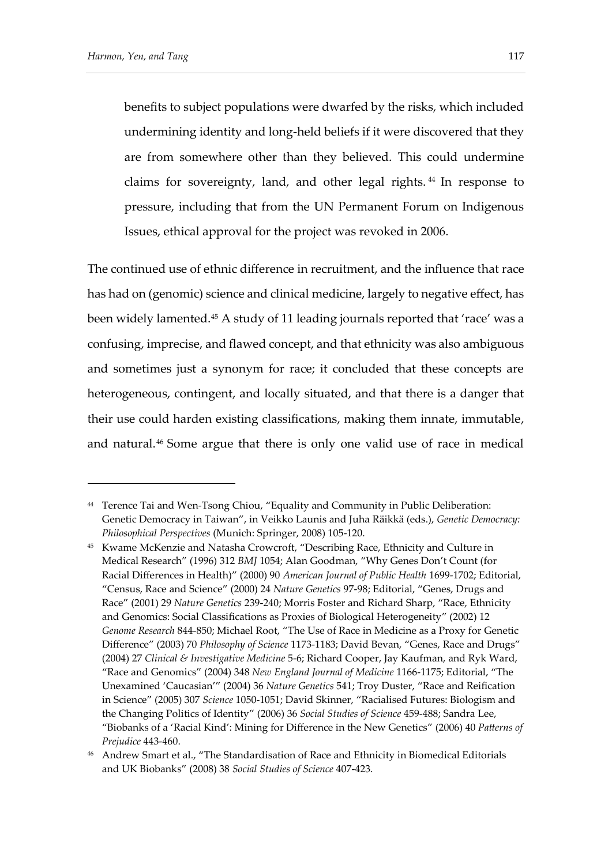benefits to subject populations were dwarfed by the risks, which included undermining identity and long-held beliefs if it were discovered that they are from somewhere other than they believed. This could undermine claims for sovereignty, land, and other legal rights. <sup>44</sup> In response to pressure, including that from the UN Permanent Forum on Indigenous Issues, ethical approval for the project was revoked in 2006.

The continued use of ethnic difference in recruitment, and the influence that race has had on (genomic) science and clinical medicine, largely to negative effect, has been widely lamented.<sup>45</sup> A study of 11 leading journals reported that 'race' was a confusing, imprecise, and flawed concept, and that ethnicity was also ambiguous and sometimes just a synonym for race; it concluded that these concepts are heterogeneous, contingent, and locally situated, and that there is a danger that their use could harden existing classifications, making them innate, immutable, and natural.<sup>46</sup> Some argue that there is only one valid use of race in medical

<sup>44</sup> Terence Tai and Wen-Tsong Chiou, "Equality and Community in Public Deliberation: Genetic Democracy in Taiwan", in Veikko Launis and Juha Räikkä (eds.), *Genetic Democracy: Philosophical Perspectives* (Munich: Springer, 2008) 105-120.

<sup>45</sup> Kwame McKenzie and Natasha Crowcroft, "Describing Race, Ethnicity and Culture in Medical Research" (1996) 312 *BMJ* 1054; Alan Goodman, "Why Genes Don't Count (for Racial Differences in Health)" (2000) 90 *American Journal of Public Health* 1699-1702; Editorial, "Census, Race and Science" (2000) 24 *Nature Genetics* 97-98; Editorial, "Genes, Drugs and Race" (2001) 29 *Nature Genetics* 239-240; Morris Foster and Richard Sharp, "Race, Ethnicity and Genomics: Social Classifications as Proxies of Biological Heterogeneity" (2002) 12 *Genome Research* 844-850; Michael Root, "The Use of Race in Medicine as a Proxy for Genetic Difference" (2003) 70 *Philosophy of Science* 1173-1183; David Bevan, "Genes, Race and Drugs" (2004) 27 *Clinical & Investigative Medicine* 5-6; Richard Cooper, Jay Kaufman, and Ryk Ward, "Race and Genomics" (2004) 348 *New England Journal of Medicine* 1166-1175; Editorial, "The Unexamined 'Caucasian'" (2004) 36 *Nature Genetics* 541; Troy Duster, "Race and Reification in Science" (2005) 307 *Science* 1050-1051; David Skinner, "Racialised Futures: Biologism and the Changing Politics of Identity" (2006) 36 *Social Studies of Science* 459-488; Sandra Lee, "Biobanks of a 'Racial Kind': Mining for Difference in the New Genetics" (2006) 40 *Patterns of Prejudice* 443-460.

<sup>&</sup>lt;sup>46</sup> Andrew Smart et al., "The Standardisation of Race and Ethnicity in Biomedical Editorials and UK Biobanks" (2008) 38 *Social Studies of Science* 407-423.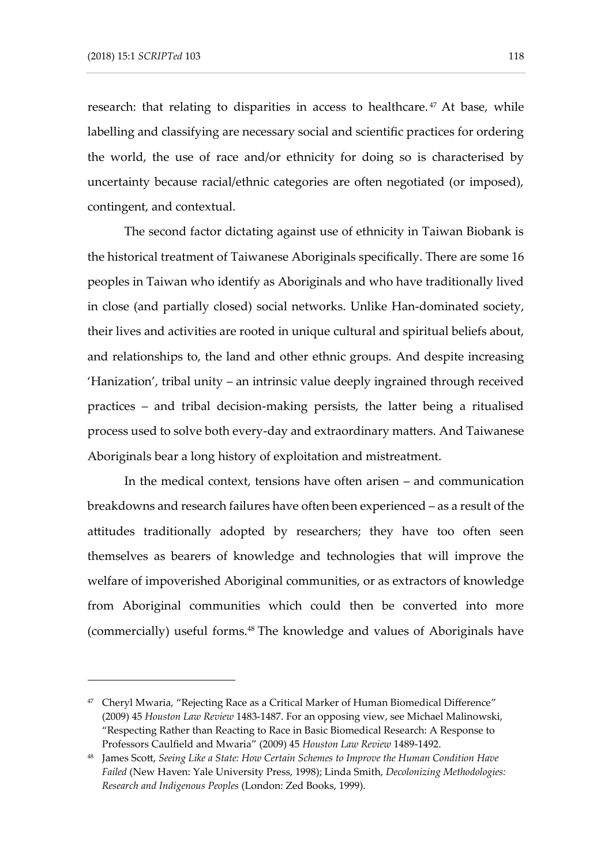research: that relating to disparities in access to healthcare.<sup>47</sup> At base, while labelling and classifying are necessary social and scientific practices for ordering the world, the use of race and/or ethnicity for doing so is characterised by uncertainty because racial/ethnic categories are often negotiated (or imposed), contingent, and contextual.

The second factor dictating against use of ethnicity in Taiwan Biobank is the historical treatment of Taiwanese Aboriginals specifically. There are some 16 peoples in Taiwan who identify as Aboriginals and who have traditionally lived in close (and partially closed) social networks. Unlike Han-dominated society, their lives and activities are rooted in unique cultural and spiritual beliefs about, and relationships to, the land and other ethnic groups. And despite increasing 'Hanization', tribal unity – an intrinsic value deeply ingrained through received practices – and tribal decision-making persists, the latter being a ritualised process used to solve both every-day and extraordinary matters. And Taiwanese Aboriginals bear a long history of exploitation and mistreatment.

In the medical context, tensions have often arisen – and communication breakdowns and research failures have often been experienced – as a result of the attitudes traditionally adopted by researchers; they have too often seen themselves as bearers of knowledge and technologies that will improve the welfare of impoverished Aboriginal communities, or as extractors of knowledge from Aboriginal communities which could then be converted into more (commercially) useful forms.<sup>48</sup> The knowledge and values of Aboriginals have

<sup>47</sup> Cheryl Mwaria, "Rejecting Race as a Critical Marker of Human Biomedical Difference" (2009) 45 *Houston Law Review* 1483-1487. For an opposing view, see Michael Malinowski, "Respecting Rather than Reacting to Race in Basic Biomedical Research: A Response to Professors Caulfield and Mwaria" (2009) 45 *Houston Law Review* 1489-1492.

<sup>48</sup> James Scott, *Seeing Like a State: How Certain Schemes to Improve the Human Condition Have Failed* (New Haven: Yale University Press, 1998); Linda Smith, *Decolonizing Methodologies: Research and Indigenous Peoples* (London: Zed Books, 1999).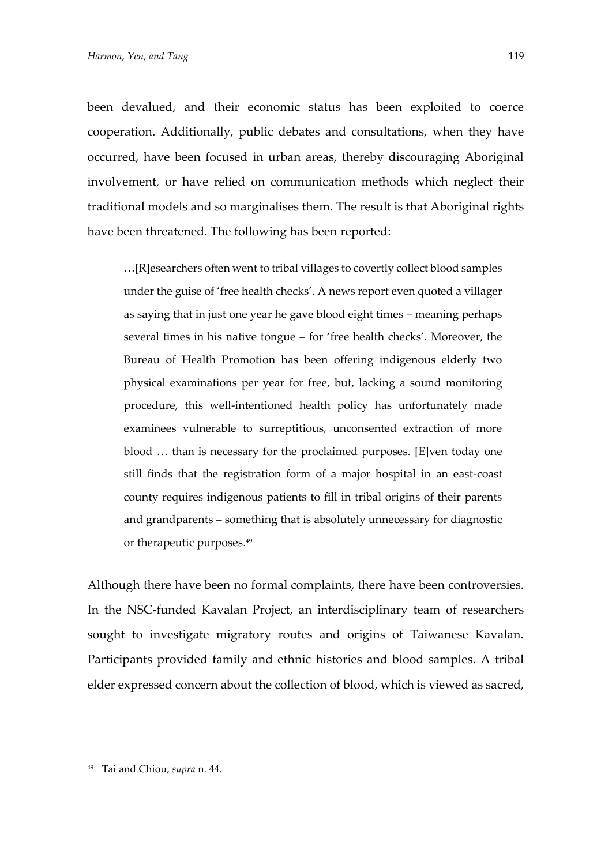been devalued, and their economic status has been exploited to coerce cooperation. Additionally, public debates and consultations, when they have occurred, have been focused in urban areas, thereby discouraging Aboriginal involvement, or have relied on communication methods which neglect their traditional models and so marginalises them. The result is that Aboriginal rights have been threatened. The following has been reported:

…[R]esearchers often went to tribal villages to covertly collect blood samples under the guise of 'free health checks'. A news report even quoted a villager as saying that in just one year he gave blood eight times – meaning perhaps several times in his native tongue – for 'free health checks'. Moreover, the Bureau of Health Promotion has been offering indigenous elderly two physical examinations per year for free, but, lacking a sound monitoring procedure, this well-intentioned health policy has unfortunately made examinees vulnerable to surreptitious, unconsented extraction of more blood … than is necessary for the proclaimed purposes. [E]ven today one still finds that the registration form of a major hospital in an east-coast county requires indigenous patients to fill in tribal origins of their parents and grandparents – something that is absolutely unnecessary for diagnostic or therapeutic purposes.<sup>49</sup>

Although there have been no formal complaints, there have been controversies. In the NSC-funded Kavalan Project, an interdisciplinary team of researchers sought to investigate migratory routes and origins of Taiwanese Kavalan. Participants provided family and ethnic histories and blood samples. A tribal elder expressed concern about the collection of blood, which is viewed as sacred,

<sup>49</sup> Tai and Chiou, *supra* n. 44.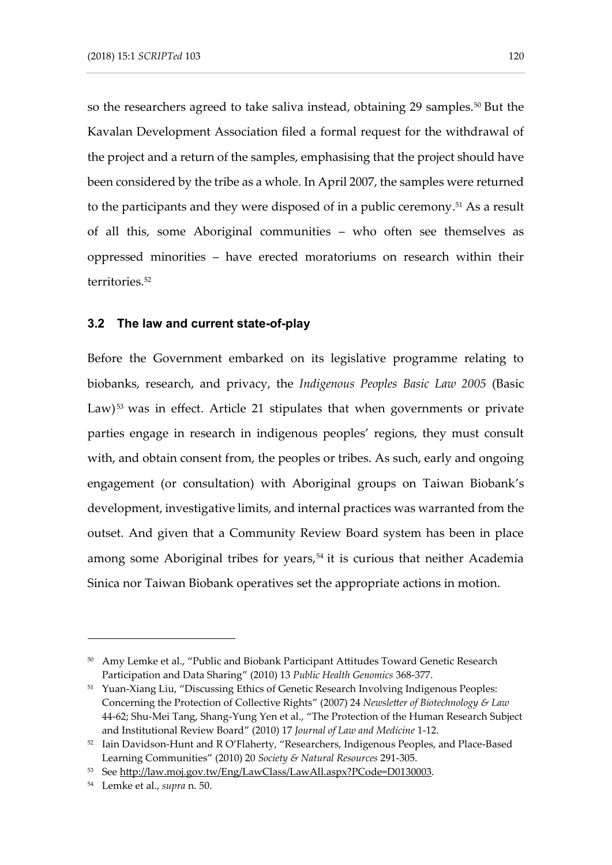so the researchers agreed to take saliva instead, obtaining 29 samples.<sup>50</sup> But the Kavalan Development Association filed a formal request for the withdrawal of the project and a return of the samples, emphasising that the project should have been considered by the tribe as a whole. In April 2007, the samples were returned to the participants and they were disposed of in a public ceremony. <sup>51</sup> As a result of all this, some Aboriginal communities – who often see themselves as oppressed minorities – have erected moratoriums on research within their territories.<sup>52</sup>

#### **3.2 The law and current state-of-play**

Before the Government embarked on its legislative programme relating to biobanks, research, and privacy, the *Indigenous Peoples Basic Law 2005* (Basic Law) <sup>53</sup> was in effect. Article 21 stipulates that when governments or private parties engage in research in indigenous peoples' regions, they must consult with, and obtain consent from, the peoples or tribes. As such, early and ongoing engagement (or consultation) with Aboriginal groups on Taiwan Biobank's development, investigative limits, and internal practices was warranted from the outset. And given that a Community Review Board system has been in place among some Aboriginal tribes for years,<sup>54</sup> it is curious that neither Academia Sinica nor Taiwan Biobank operatives set the appropriate actions in motion.

<sup>50</sup> Amy Lemke et al., "Public and Biobank Participant Attitudes Toward Genetic Research Participation and Data Sharing" (2010) 13 *Public Health Genomics* 368-377.

<sup>51</sup> Yuan-Xiang Liu, "Discussing Ethics of Genetic Research Involving Indigenous Peoples: Concerning the Protection of Collective Rights" (2007) 24 *Newsletter of Biotechnology & Law* 44-62; Shu-Mei Tang, Shang-Yung Yen et al., "The Protection of the Human Research Subject and Institutional Review Board" (2010) 17 *Journal of Law and Medicine* 1-12.

<sup>&</sup>lt;sup>52</sup> Iain Davidson-Hunt and R O'Flaherty, "Researchers, Indigenous Peoples, and Place-Based Learning Communities" (2010) 20 *Society & Natural Resources* 291-305.

<sup>53</sup> Se[e http://law.moj.gov.tw/Eng/LawClass/LawAll.aspx?PCode=D0130003.](http://law.moj.gov.tw/Eng/LawClass/LawAll.aspx?PCode=D0130003)

<sup>54</sup> Lemke et al., *supra* n. 50.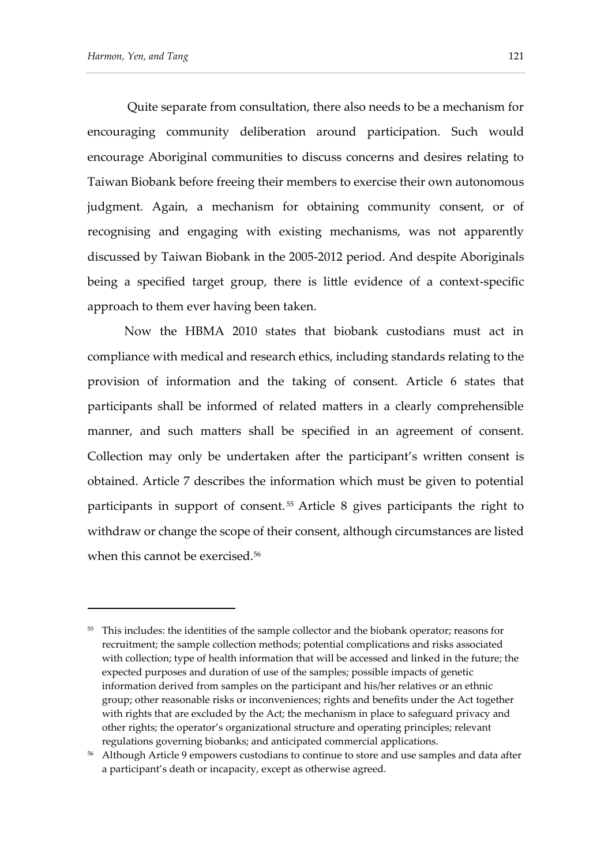Quite separate from consultation, there also needs to be a mechanism for encouraging community deliberation around participation. Such would encourage Aboriginal communities to discuss concerns and desires relating to Taiwan Biobank before freeing their members to exercise their own autonomous judgment. Again, a mechanism for obtaining community consent, or of recognising and engaging with existing mechanisms, was not apparently discussed by Taiwan Biobank in the 2005-2012 period. And despite Aboriginals being a specified target group, there is little evidence of a context-specific approach to them ever having been taken.

Now the HBMA 2010 states that biobank custodians must act in compliance with medical and research ethics, including standards relating to the provision of information and the taking of consent. Article 6 states that participants shall be informed of related matters in a clearly comprehensible manner, and such matters shall be specified in an agreement of consent. Collection may only be undertaken after the participant's written consent is obtained. Article 7 describes the information which must be given to potential participants in support of consent. <sup>55</sup> Article 8 gives participants the right to withdraw or change the scope of their consent, although circumstances are listed when this cannot be exercised.<sup>56</sup>

<sup>&</sup>lt;sup>55</sup> This includes: the identities of the sample collector and the biobank operator; reasons for recruitment; the sample collection methods; potential complications and risks associated with collection; type of health information that will be accessed and linked in the future; the expected purposes and duration of use of the samples; possible impacts of genetic information derived from samples on the participant and his/her relatives or an ethnic group; other reasonable risks or inconveniences; rights and benefits under the Act together with rights that are excluded by the Act; the mechanism in place to safeguard privacy and other rights; the operator's organizational structure and operating principles; relevant regulations governing biobanks; and anticipated commercial applications.

<sup>56</sup> Although Article 9 empowers custodians to continue to store and use samples and data after a participant's death or incapacity, except as otherwise agreed.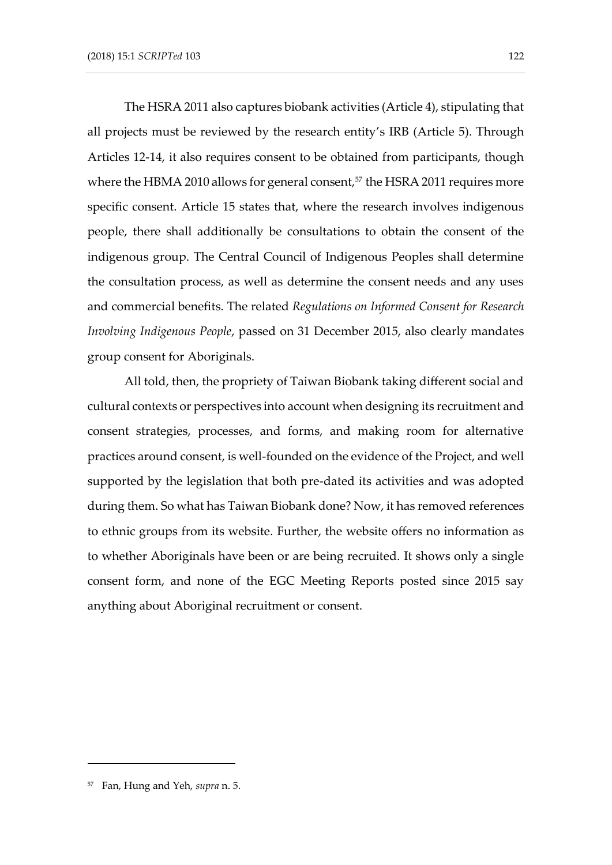The HSRA 2011 also captures biobank activities (Article 4), stipulating that all projects must be reviewed by the research entity's IRB (Article 5). Through Articles 12-14, it also requires consent to be obtained from participants, though where the HBMA 2010 allows for general consent,<sup>57</sup> the HSRA 2011 requires more specific consent. Article 15 states that, where the research involves indigenous people, there shall additionally be consultations to obtain the consent of the indigenous group. The Central Council of Indigenous Peoples shall determine the consultation process, as well as determine the consent needs and any uses and commercial benefits. The related *Regulations on Informed Consent for Research Involving Indigenous People*, passed on 31 December 2015, also clearly mandates group consent for Aboriginals.

All told, then, the propriety of Taiwan Biobank taking different social and cultural contexts or perspectives into account when designing its recruitment and consent strategies, processes, and forms, and making room for alternative practices around consent, is well-founded on the evidence of the Project, and well supported by the legislation that both pre-dated its activities and was adopted during them. So what has Taiwan Biobank done? Now, it has removed references to ethnic groups from its website. Further, the website offers no information as to whether Aboriginals have been or are being recruited. It shows only a single consent form, and none of the EGC Meeting Reports posted since 2015 say anything about Aboriginal recruitment or consent.

<sup>57</sup> Fan, Hung and Yeh, *supra* n. 5.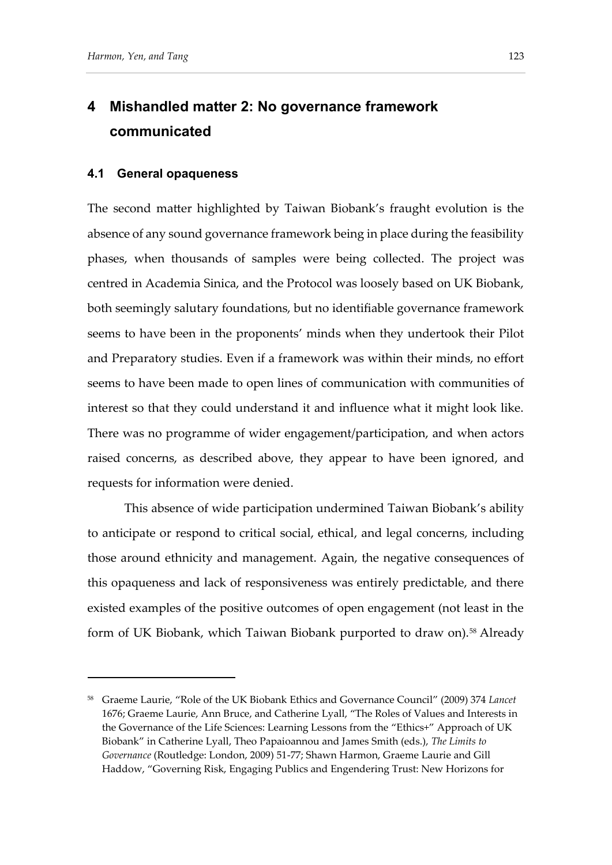### **4 Mishandled matter 2: No governance framework communicated**

#### **4.1 General opaqueness**

The second matter highlighted by Taiwan Biobank's fraught evolution is the absence of any sound governance framework being in place during the feasibility phases, when thousands of samples were being collected. The project was centred in Academia Sinica, and the Protocol was loosely based on UK Biobank, both seemingly salutary foundations, but no identifiable governance framework seems to have been in the proponents' minds when they undertook their Pilot and Preparatory studies. Even if a framework was within their minds, no effort seems to have been made to open lines of communication with communities of interest so that they could understand it and influence what it might look like. There was no programme of wider engagement/participation, and when actors raised concerns, as described above, they appear to have been ignored, and requests for information were denied.

This absence of wide participation undermined Taiwan Biobank's ability to anticipate or respond to critical social, ethical, and legal concerns, including those around ethnicity and management. Again, the negative consequences of this opaqueness and lack of responsiveness was entirely predictable, and there existed examples of the positive outcomes of open engagement (not least in the form of UK Biobank, which Taiwan Biobank purported to draw on).<sup>58</sup> Already

<sup>58</sup> Graeme Laurie, "Role of the UK Biobank Ethics and Governance Council" (2009) 374 *Lancet* 1676; Graeme Laurie, Ann Bruce, and Catherine Lyall, "The Roles of Values and Interests in the Governance of the Life Sciences: Learning Lessons from the "Ethics+" Approach of UK Biobank" in Catherine Lyall, Theo Papaioannou and James Smith (eds.), *The Limits to Governance* (Routledge: London, 2009) 51-77; Shawn Harmon, Graeme Laurie and Gill Haddow, "Governing Risk, Engaging Publics and Engendering Trust: New Horizons for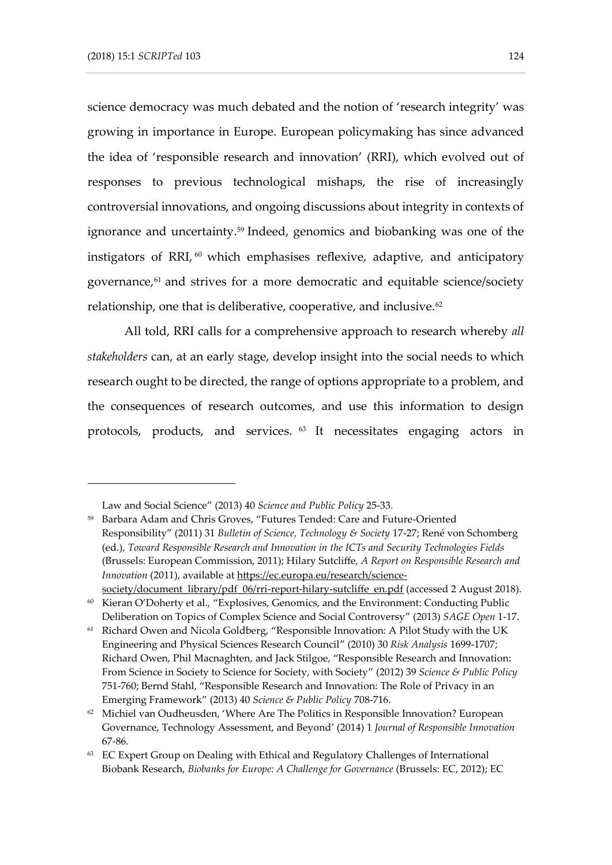science democracy was much debated and the notion of 'research integrity' was growing in importance in Europe. European policymaking has since advanced the idea of 'responsible research and innovation' (RRI), which evolved out of responses to previous technological mishaps, the rise of increasingly controversial innovations, and ongoing discussions about integrity in contexts of ignorance and uncertainty.<sup>59</sup> Indeed, genomics and biobanking was one of the instigators of RRI, <sup>60</sup> which emphasises reflexive, adaptive, and anticipatory governance,<sup>61</sup> and strives for a more democratic and equitable science/society relationship, one that is deliberative, cooperative, and inclusive.<sup>62</sup>

All told, RRI calls for a comprehensive approach to research whereby *all stakeholders* can, at an early stage, develop insight into the social needs to which research ought to be directed, the range of options appropriate to a problem, and the consequences of research outcomes, and use this information to design protocols, products, and services. <sup>63</sup> It necessitates engaging actors in

Law and Social Science" (2013) 40 *Science and Public Policy* 25-33.

<sup>59</sup> Barbara Adam and Chris Groves, "Futures Tended: Care and Future-Oriented Responsibility" (2011) 31 *Bulletin of Science, Technology & Society* 17-27; René von Schomberg (ed.), *Toward Responsible Research and Innovation in the ICTs and Security Technologies Fields* (Brussels: European Commission, 2011); Hilary Sutcliffe, *A Report on Responsible Research and Innovation* (2011), available at [https://ec.europa.eu/research/science](https://ec.europa.eu/research/science-society/document_library/pdf_06/rri-report-hilary-sutcliffe_en.pdf)[society/document\\_library/pdf\\_06/rri-report-hilary-sutcliffe\\_en.pdf](https://ec.europa.eu/research/science-society/document_library/pdf_06/rri-report-hilary-sutcliffe_en.pdf) (accessed 2 August 2018).

<sup>60</sup> Kieran O'Doherty et al., "Explosives, Genomics, and the Environment: Conducting Public Deliberation on Topics of Complex Science and Social Controversy" (2013) *SAGE Open* 1-17.

 $61$  Richard Owen and Nicola Goldberg, "Responsible Innovation: A Pilot Study with the UK Engineering and Physical Sciences Research Council" (2010) 30 *Risk Analysis* 1699-1707; Richard Owen, Phil Macnaghten, and Jack Stilgoe, "Responsible Research and Innovation: From Science in Society to Science for Society, with Society" (2012) 39 *Science & Public Policy* 751-760; Bernd Stahl, "Responsible Research and Innovation: The Role of Privacy in an Emerging Framework" (2013) 40 *Science & Public Policy* 708-716.

<sup>&</sup>lt;sup>62</sup> Michiel van Oudheusden, 'Where Are The Politics in Responsible Innovation? European Governance, Technology Assessment, and Beyond' (2014) 1 *Journal of Responsible Innovation* 67-86.

<sup>&</sup>lt;sup>63</sup> EC Expert Group on Dealing with Ethical and Regulatory Challenges of International Biobank Research, *Biobanks for Europe: A Challenge for Governance* (Brussels: EC, 2012); EC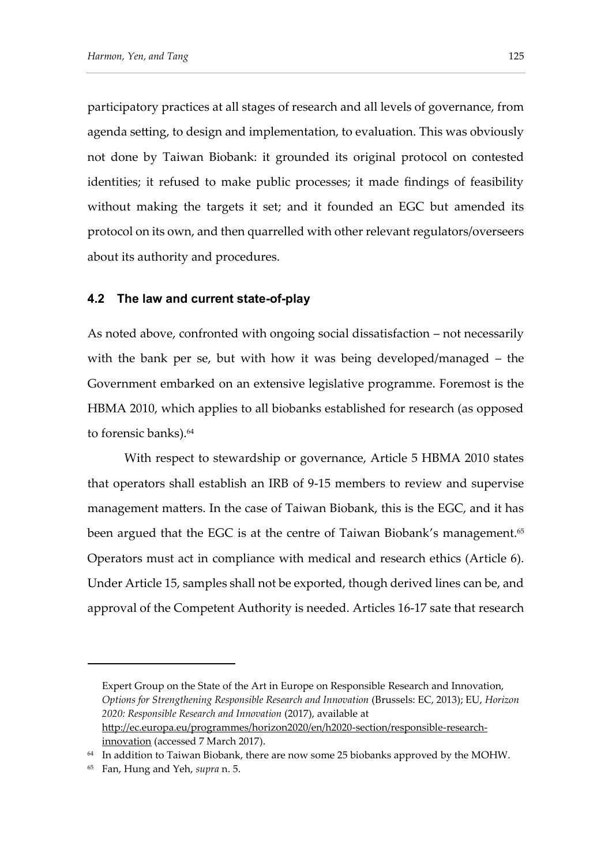participatory practices at all stages of research and all levels of governance, from agenda setting, to design and implementation, to evaluation. This was obviously not done by Taiwan Biobank: it grounded its original protocol on contested identities; it refused to make public processes; it made findings of feasibility without making the targets it set; and it founded an EGC but amended its protocol on its own, and then quarrelled with other relevant regulators/overseers about its authority and procedures.

#### **4.2 The law and current state-of-play**

As noted above, confronted with ongoing social dissatisfaction – not necessarily with the bank per se, but with how it was being developed/managed – the Government embarked on an extensive legislative programme. Foremost is the HBMA 2010, which applies to all biobanks established for research (as opposed to forensic banks).<sup>64</sup>

With respect to stewardship or governance, Article 5 HBMA 2010 states that operators shall establish an IRB of 9-15 members to review and supervise management matters. In the case of Taiwan Biobank, this is the EGC, and it has been argued that the EGC is at the centre of Taiwan Biobank's management.<sup>65</sup> Operators must act in compliance with medical and research ethics (Article 6). Under Article 15, samples shall not be exported, though derived lines can be, and approval of the Competent Authority is needed. Articles 16-17 sate that research

Expert Group on the State of the Art in Europe on Responsible Research and Innovation, *Options for Strengthening Responsible Research and Innovation* (Brussels: EC, 2013); EU, *Horizon 2020: Responsible Research and Innovation* (2017), available at [http://ec.europa.eu/programmes/horizon2020/en/h2020-section/responsible-research](http://ec.europa.eu/programmes/horizon2020/en/h2020-section/responsible-research-innovation)[innovation](http://ec.europa.eu/programmes/horizon2020/en/h2020-section/responsible-research-innovation) (accessed 7 March 2017).

<sup>&</sup>lt;sup>64</sup> In addition to Taiwan Biobank, there are now some 25 biobanks approved by the MOHW.

<sup>65</sup> Fan, Hung and Yeh, *supra* n. 5.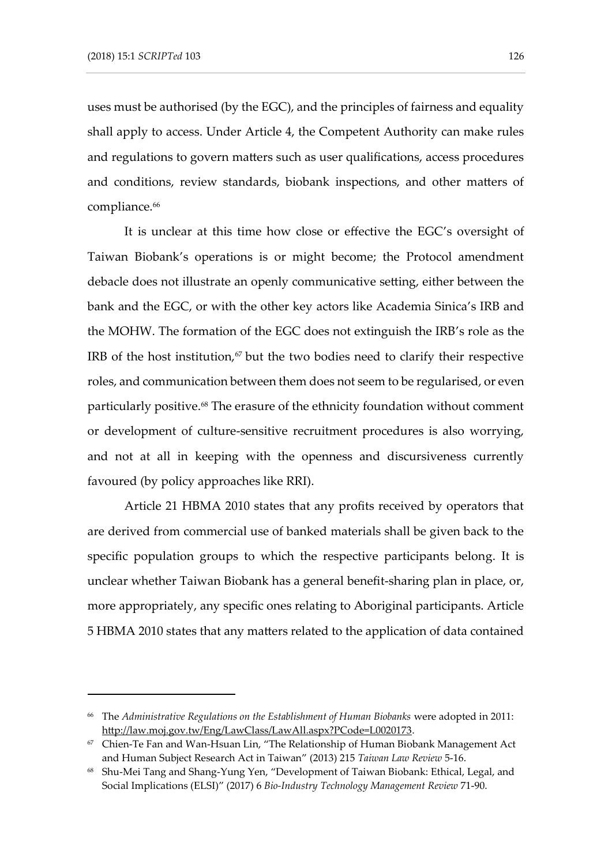uses must be authorised (by the EGC), and the principles of fairness and equality shall apply to access. Under Article 4, the Competent Authority can make rules and regulations to govern matters such as user qualifications, access procedures and conditions, review standards, biobank inspections, and other matters of compliance.<sup>66</sup>

It is unclear at this time how close or effective the EGC's oversight of Taiwan Biobank's operations is or might become; the Protocol amendment debacle does not illustrate an openly communicative setting, either between the bank and the EGC, or with the other key actors like Academia Sinica's IRB and the MOHW. The formation of the EGC does not extinguish the IRB's role as the IRB of the host institution,<sup>67</sup> but the two bodies need to clarify their respective roles, and communication between them does not seem to be regularised, or even particularly positive.<sup>68</sup> The erasure of the ethnicity foundation without comment or development of culture-sensitive recruitment procedures is also worrying, and not at all in keeping with the openness and discursiveness currently favoured (by policy approaches like RRI).

Article 21 HBMA 2010 states that any profits received by operators that are derived from commercial use of banked materials shall be given back to the specific population groups to which the respective participants belong. It is unclear whether Taiwan Biobank has a general benefit-sharing plan in place, or, more appropriately, any specific ones relating to Aboriginal participants. Article 5 HBMA 2010 states that any matters related to the application of data contained

<sup>66</sup> The *Administrative Regulations on the Establishment of Human Biobanks* were adopted in 2011: [http://law.moj.gov.tw/Eng/LawClass/LawAll.aspx?PCode=L0020173.](http://law.moj.gov.tw/Eng/LawClass/LawAll.aspx?PCode=L0020173)

<sup>67</sup> Chien-Te Fan and Wan-Hsuan Lin, "The Relationship of Human Biobank Management Act and Human Subject Research Act in Taiwan" (2013) 215 *Taiwan Law Review* 5-16.

<sup>68</sup> Shu-Mei Tang and Shang-Yung Yen, "Development of Taiwan Biobank: Ethical, Legal, and Social Implications (ELSI)" (2017) 6 *Bio-Industry Technology Management Review* 71-90.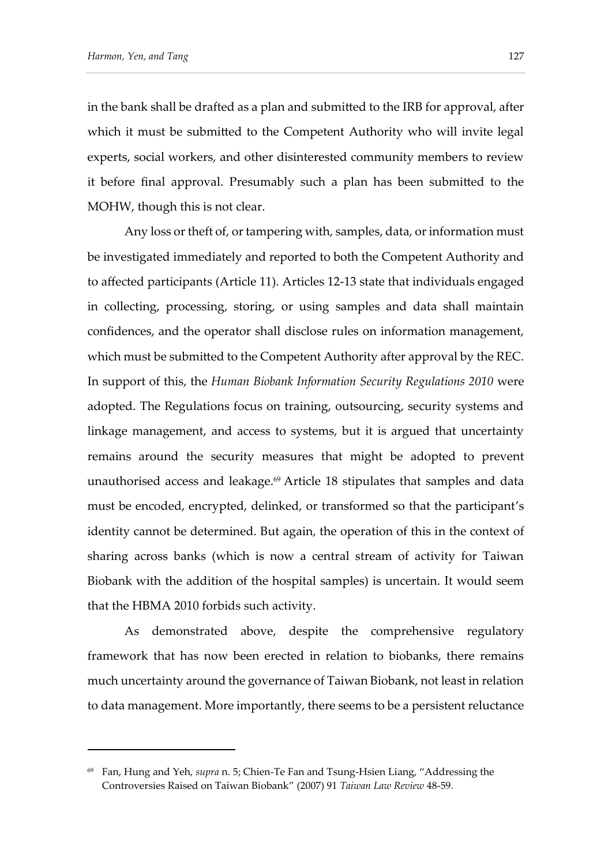in the bank shall be drafted as a plan and submitted to the IRB for approval, after which it must be submitted to the Competent Authority who will invite legal experts, social workers, and other disinterested community members to review it before final approval. Presumably such a plan has been submitted to the MOHW, though this is not clear.

Any loss or theft of, or tampering with, samples, data, or information must be investigated immediately and reported to both the Competent Authority and to affected participants (Article 11). Articles 12-13 state that individuals engaged in collecting, processing, storing, or using samples and data shall maintain confidences, and the operator shall disclose rules on information management, which must be submitted to the Competent Authority after approval by the REC. In support of this, the *Human Biobank Information Security Regulations 2010* were adopted. The Regulations focus on training, outsourcing, security systems and linkage management, and access to systems, but it is argued that uncertainty remains around the security measures that might be adopted to prevent unauthorised access and leakage.<sup>69</sup> Article 18 stipulates that samples and data must be encoded, encrypted, delinked, or transformed so that the participant's identity cannot be determined. But again, the operation of this in the context of sharing across banks (which is now a central stream of activity for Taiwan Biobank with the addition of the hospital samples) is uncertain. It would seem that the HBMA 2010 forbids such activity.

As demonstrated above, despite the comprehensive regulatory framework that has now been erected in relation to biobanks, there remains much uncertainty around the governance of Taiwan Biobank, not least in relation to data management. More importantly, there seems to be a persistent reluctance

<sup>69</sup> Fan, Hung and Yeh, *supra* n. 5; Chien-Te Fan and Tsung-Hsien Liang, "Addressing the Controversies Raised on Taiwan Biobank" (2007) 91 *Taiwan Law Review* 48-59.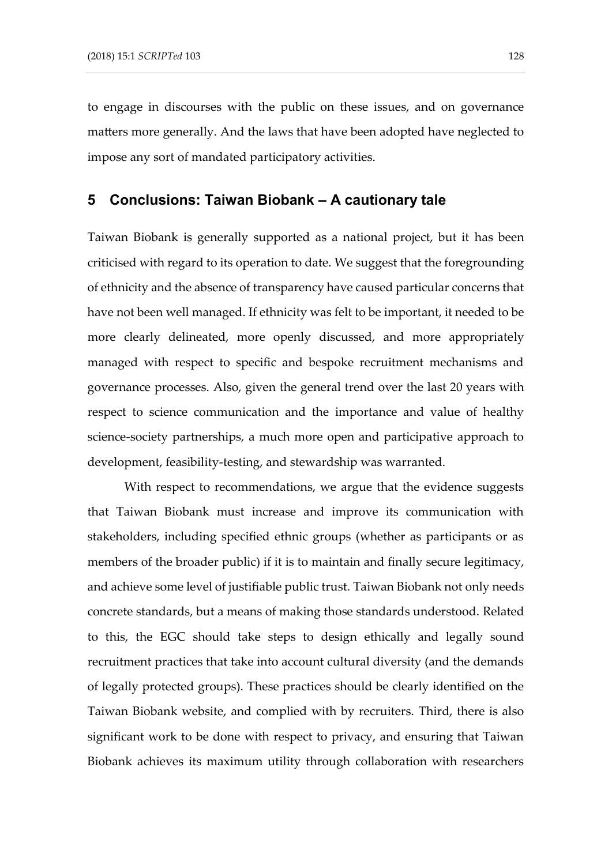to engage in discourses with the public on these issues, and on governance matters more generally. And the laws that have been adopted have neglected to impose any sort of mandated participatory activities.

#### **5 Conclusions: Taiwan Biobank – A cautionary tale**

Taiwan Biobank is generally supported as a national project, but it has been criticised with regard to its operation to date. We suggest that the foregrounding of ethnicity and the absence of transparency have caused particular concerns that have not been well managed. If ethnicity was felt to be important, it needed to be more clearly delineated, more openly discussed, and more appropriately managed with respect to specific and bespoke recruitment mechanisms and governance processes. Also, given the general trend over the last 20 years with respect to science communication and the importance and value of healthy science-society partnerships, a much more open and participative approach to development, feasibility-testing, and stewardship was warranted.

With respect to recommendations, we argue that the evidence suggests that Taiwan Biobank must increase and improve its communication with stakeholders, including specified ethnic groups (whether as participants or as members of the broader public) if it is to maintain and finally secure legitimacy, and achieve some level of justifiable public trust. Taiwan Biobank not only needs concrete standards, but a means of making those standards understood. Related to this, the EGC should take steps to design ethically and legally sound recruitment practices that take into account cultural diversity (and the demands of legally protected groups). These practices should be clearly identified on the Taiwan Biobank website, and complied with by recruiters. Third, there is also significant work to be done with respect to privacy, and ensuring that Taiwan Biobank achieves its maximum utility through collaboration with researchers